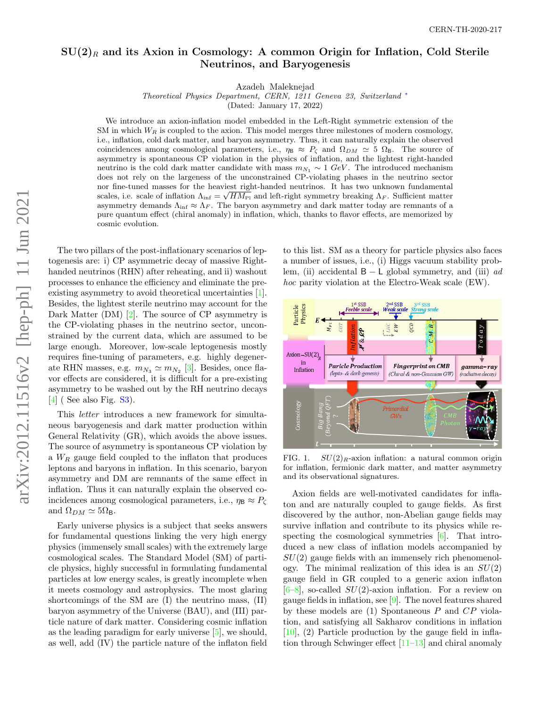# $SU(2)_R$  and its Axion in Cosmology: A common Origin for Inflation, Cold Sterile Neutrinos, and Baryogenesis

Azadeh Maleknejad

Theoretical Physics Department, CERN, 1211 Geneva 23, Switzerland [∗](#page-4-0)

(Dated: January 17, 2022)

We introduce an axion-inflation model embedded in the Left-Right symmetric extension of the SM in which  $W_R$  is coupled to the axion. This model merges three milestones of modern cosmology, i.e., inflation, cold dark matter, and baryon asymmetry. Thus, it can naturally explain the observed coincidences among cosmological parameters, i.e.,  $\eta_B \approx P_\zeta$  and  $\Omega_{DM} \approx 5 \Omega_B$ . The source of asymmetry is spontaneous CP violation in the physics of inflation, and the lightest right-handed neutrino is the cold dark matter candidate with mass  $m_{N_1} \sim 1 \text{ GeV}$ . The introduced mechanism does not rely on the largeness of the unconstrained CP-violating phases in the neutrino sector nor fine-tuned masses for the heaviest right-handed neutrinos. It has two unknown fundamental scales, i.e. scale of inflation  $\Lambda_{\rm inf} = \sqrt{HM_{\rm Pl}}$  and left-right symmetry breaking  $\Lambda_F$ . Sufficient matter asymmetry demands  $\Lambda_{\text{inf}} \approx \Lambda_F$ . The baryon asymmetry and dark matter today are remnants of a pure quantum effect (chiral anomaly) in inflation, which, thanks to flavor effects, are memorized by cosmic evolution.

The two pillars of the post-inflationary scenarios of lep-[\[4\]](#page-4-4) ( See also Fig. [S3\)](#page-7-0).

togenesis are: i) CP asymmetric decay of massive Righthanded neutrinos (RHN) after reheating, and ii) washout processes to enhance the efficiency and eliminate the preexisting asymmetry to avoid theoretical uncertainties [\[1\]](#page-4-1). Besides, the lightest sterile neutrino may account for the Dark Matter (DM) [\[2\]](#page-4-2). The source of CP asymmetry is the CP-violating phases in the neutrino sector, unconstrained by the current data, which are assumed to be large enough. Moreover, low-scale leptogenesis mostly requires fine-tuning of parameters, e.g. highly degenerate RHN masses, e.g.  $m_{N_3} \simeq m_{N_2}$  [\[3\]](#page-4-3). Besides, once flavor effects are considered, it is difficult for a pre-existing asymmetry to be washed out by the RH neutrino decays

This letter introduces a new framework for simultaneous baryogenesis and dark matter production within General Relativity (GR), which avoids the above issues. The source of asymmetry is spontaneous CP violation by a  $W_R$  gauge field coupled to the inflaton that produces leptons and baryons in inflation. In this scenario, baryon asymmetry and DM are remnants of the same effect in inflation. Thus it can naturally explain the observed coincidences among cosmological parameters, i.e.,  $\eta_{\rm B} \approx P_{\zeta}$ and  $\Omega_{DM} \simeq 5\Omega_{\text{B}}$ .

Early universe physics is a subject that seeks answers for fundamental questions linking the very high energy physics (immensely small scales) with the extremely large cosmological scales. The Standard Model (SM) of particle physics, highly successful in formulating fundamental particles at low energy scales, is greatly incomplete when it meets cosmology and astrophysics. The most glaring shortcomings of the SM are (I) the neutrino mass, (II) baryon asymmetry of the Universe (BAU), and (III) particle nature of dark matter. Considering cosmic inflation as the leading paradigm for early universe [\[5\]](#page-4-5), we should, as well, add (IV) the particle nature of the inflaton field

to this list. SM as a theory for particle physics also faces a number of issues, i.e., (i) Higgs vacuum stability problem, (ii) accidental  $B - L$  global symmetry, and (iii) ad hoc parity violation at the Electro-Weak scale (EW).



<span id="page-0-0"></span>FIG. 1.  $SU(2)_R$ -axion inflation: a natural common origin for inflation, fermionic dark matter, and matter asymmetry and its observational signatures.

Axion fields are well-motivated candidates for inflaton and are naturally coupled to gauge fields. As first discovered by the author, non-Abelian gauge fields may survive inflation and contribute to its physics while respecting the cosmological symmetries [\[6\]](#page-4-6). That introduced a new class of inflation models accompanied by  $SU(2)$  gauge fields with an immensely rich phenomenology. The minimal realization of this idea is an  $SU(2)$ gauge field in GR coupled to a generic axion inflaton  $[6–8]$  $[6–8]$ , so-called  $SU(2)$ -axion inflation. For a review on gauge fields in inflation, see [\[9\]](#page-4-8). The novel features shared by these models are  $(1)$  Spontaneous P and  $CP$  violation, and satisfying all Sakharov conditions in inflation  $[10]$ ,  $(2)$  Particle production by the gauge field in inflation through Schwinger effect [\[11–](#page-4-10)[13\]](#page-4-11) and chiral anomaly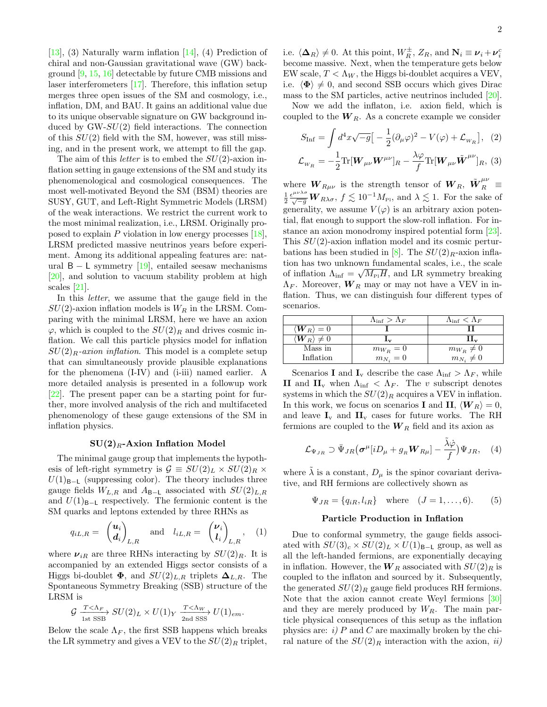$[13]$ , (3) Naturally warm inflation  $[14]$ , (4) Prediction of chiral and non-Gaussian gravitational wave (GW) background [\[9,](#page-4-8) [15,](#page-4-13) [16\]](#page-4-14) detectable by future CMB missions and laser interferometers [\[17\]](#page-4-15). Therefore, this inflation setup merges three open issues of the SM and cosmology, i.e., inflation, DM, and BAU. It gains an additional value due to its unique observable signature on GW background induced by  $GW-SU(2)$  field interactions. The connection of this  $SU(2)$  field with the SM, however, was still missing, and in the present work, we attempt to fill the gap.

The aim of this *letter* is to embed the  $SU(2)$ -axion inflation setting in gauge extensions of the SM and study its phenomenological and cosmological consequences. The most well-motivated Beyond the SM (BSM) theories are SUSY, GUT, and Left-Right Symmetric Models (LRSM) of the weak interactions. We restrict the current work to the most minimal realization, i.e., LRSM. Originally proposed to explain  $P$  violation in low energy processes  $[18]$ , LRSM predicted massive neutrinos years before experiment. Among its additional appealing features are: natural  $B - L$  symmetry [\[19\]](#page-4-17), entailed seesaw mechanisms [\[20\]](#page-4-18), and solution to vacuum stability problem at high scales [\[21\]](#page-4-19).

In this letter, we assume that the gauge field in the  $SU(2)$ -axion inflation models is  $W_R$  in the LRSM. Comparing with the minimal LRSM, here we have an axion  $\varphi$ , which is coupled to the  $SU(2)_R$  and drives cosmic inflation. We call this particle physics model for inflation  $SU(2)_R$ -axion inflation. This model is a complete setup that can simultaneously provide plausible explanations for the phenomena (I-IV) and (i-iii) named earlier. A more detailed analysis is presented in a followup work [\[22\]](#page-4-20). The present paper can be a starting point for further, more involved analysis of the rich and multifaceted phenomenology of these gauge extensions of the SM in inflation physics.

#### $SU(2)_R$ -Axion Inflation Model

The minimal gauge group that implements the hypothesis of left-right symmetry is  $\mathcal{G} \equiv SU(2)_L \times SU(2)_R \times$  $U(1)_{B-L}$  (suppressing color). The theory includes three gauge fields  $W_{L,R}$  and  $A_{B-L}$  associated with  $SU(2)_{L,R}$ and  $U(1)_{B-L}$  respectively. The fermionic content is the SM quarks and leptons extended by three RHNs as

$$
q_{iL,R} = \begin{pmatrix} \boldsymbol{u}_i \\ \boldsymbol{d}_i \end{pmatrix}_{L,R} \quad \text{and} \quad l_{iL,R} = \begin{pmatrix} \boldsymbol{\nu}_i \\ l_i \end{pmatrix}_{L,R}, \quad (1)
$$

where  $\nu_{iR}$  are three RHNs interacting by  $SU(2)_R$ . It is accompanied by an extended Higgs sector consists of a Higgs bi-doublet  $\Phi$ , and  $SU(2)_{L,R}$  triplets  $\Delta_{L,R}$ . The Spontaneous Symmetry Breaking (SSB) structure of the LRSM is

$$
\mathcal{G} \xrightarrow{\ T < \Lambda_F \atop \text{1st SSB}} SU(2)_L \times U(1)_Y \xrightarrow{\ T < \Lambda_W \atop \text{2nd SSS}} U(1)_{em}.
$$

Below the scale  $\Lambda_F$ , the first SSB happens which breaks the LR symmetry and gives a VEV to the  $SU(2)_R$  triplet,

i.e.  $\langle \mathbf{\Delta}_R \rangle \neq 0$ . At this point,  $W_R^{\pm}$ ,  $Z_R$ , and  $\mathbf{N}_i \equiv \boldsymbol{\nu}_i + \boldsymbol{\nu}_i^c$ become massive. Next, when the temperature gets below EW scale,  $T < \Lambda_W$ , the Higgs bi-doublet acquires a VEV, i.e.  $\langle \Phi \rangle \neq 0$ , and second SSB occurs which gives Dirac mass to the SM particles, active neutrinos included [\[20\]](#page-4-18).

Now we add the inflaton, i.e. axion field, which is coupled to the  $W_R$ . As a concrete example we consider

$$
S_{\text{Inf}} = \int d^4x \sqrt{-g} \left[ -\frac{1}{2} (\partial_\mu \varphi)^2 - V(\varphi) + \mathcal{L}_{w_R} \right], \quad (2)
$$

$$
\mathcal{L}_{w_R} = -\frac{1}{2} \text{Tr}[\mathbf{W}_{\mu\nu} \mathbf{W}^{\mu\nu}]_R - \frac{\lambda \varphi}{f} \text{Tr}[\mathbf{W}_{\mu\nu} \tilde{\mathbf{W}}^{\mu\nu}]_R, \quad (3)
$$

where  $\boldsymbol{W}_{R\mu\nu}$  is the strength tensor of  $\boldsymbol{W}_{R}, \ \tilde{\boldsymbol{W}}_{R}^{\mu\nu} \equiv$  $\frac{1}{2} \frac{\epsilon^{\mu\nu\lambda\sigma}}{\sqrt{-g}} W_{R\lambda\sigma}$ ,  $f \lesssim 10^{-1} M_{\text{Pl}}$ , and  $\lambda \lesssim 1$ . For the sake of generality, we assume  $V(\varphi)$  is an arbitrary axion potential, flat enough to support the slow-roll inflation. For instance an axion monodromy inspired potential form [\[23\]](#page-4-21). This  $SU(2)$ -axion inflation model and its cosmic pertur-bations has been studied in [\[8\]](#page-4-7). The  $SU(2)_R$ -axion inflation has two unknown fundamental scales, i.e., the scale √ of inflation  $\Lambda_{\text{inf}} = \sqrt{M_{\text{Pl}}H}$ , and LR symmetry breaking  $\Lambda_F$ . Moreover,  $\boldsymbol{W}_R$  may or may not have a VEV in inflation. Thus, we can distinguish four different types of scenarios.

|                                        | $\Lambda_{\rm inf} > \Lambda_F$ | $\Lambda_{\rm inf} < \Lambda_F$ |
|----------------------------------------|---------------------------------|---------------------------------|
| $\langle \boldsymbol{W}_R \rangle = 0$ |                                 |                                 |
| $\langle {\bm{W}}_R \rangle \neq 0$    | Ψπ                              |                                 |
| Mass in                                | $m_{W_R}=0$                     | $m_{W_R}\neq 0$                 |
| Inflation                              | $m_{N_i}=0$                     | $m_{N_i}\neq 0$                 |

Scenarios I and I<sub>v</sub> describe the case  $\Lambda_{\text{inf}} > \Lambda_F$ , while II and  $II_v$  when  $\Lambda_{inf} < \Lambda_F$ . The v subscript denotes systems in which the  $SU(2)_R$  acquires a VEV in inflation. In this work, we focus on scenarios I and II,  $\langle W_R \rangle = 0$ , and leave  $\mathbf{I}_v$  and  $\mathbf{II}_v$  cases for future works. The RH fermions are coupled to the  $W_R$  field and its axion as

$$
\mathcal{L}_{\Psi_{JR}} \supset \bar{\Psi}_{JR} (\sigma^{\mu} [iD_{\mu} + g_{R} \boldsymbol{W}_{R\mu}] - \frac{\tilde{\lambda}\dot{\varphi}}{f}) \Psi_{JR}, \quad (4)
$$

where  $\lambda$  is a constant,  $D_{\mu}$  is the spinor covariant derivative, and RH fermions are collectively shown as

$$
\Psi_{JR} = \{q_{iR}, l_{iR}\}\
$$
 where  $(J = 1, ..., 6).$  (5)

#### Particle Production in Inflation

Due to conformal symmetry, the gauge fields associated with  $SU(3)_c \times SU(2)_L \times U(1)_{B-L}$  group, as well as all the left-handed fermions, are exponentially decaying in inflation. However, the  $W_R$  associated with  $SU(2)_R$  is coupled to the inflaton and sourced by it. Subsequently, the generated  $SU(2)_R$  gauge field produces RH fermions. Note that the axion cannot create Weyl fermions [\[30\]](#page-4-22) and they are merely produced by  $W_R$ . The main particle physical consequences of this setup as the inflation physics are:  $i)$  P and C are maximally broken by the chiral nature of the  $SU(2)_R$  interaction with the axion, ii)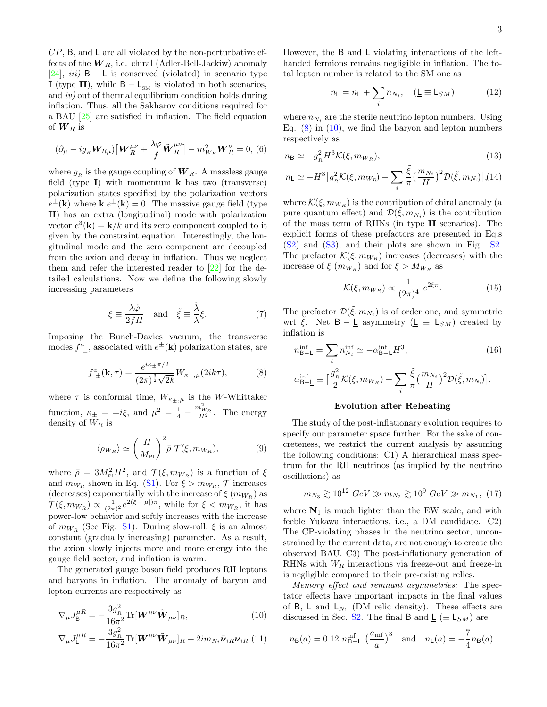$CP$ , B, and L are all violated by the non-perturbative effects of the  $W_R$ , i.e. chiral (Adler-Bell-Jackiw) anomaly [\[24\]](#page-4-23), *iii*)  $B - L$  is conserved (violated) in scenario type I (type II), while  $B - L_{SM}$  is violated in both scenarios, and iv) out of thermal equilibrium condition holds during inflation. Thus, all the Sakharov conditions required for a BAU [\[25\]](#page-4-24) are satisfied in inflation. The field equation of  $W_R$  is

$$
(\partial_{\mu} - ig_R \mathbf{W}_{R\mu}) \big[ \mathbf{W}_{R}^{\mu\nu} + \frac{\lambda \varphi}{f} \tilde{\mathbf{W}}_{R}^{\mu\nu} \big] - m_{W_R}^2 \mathbf{W}_{R}^{\nu} = 0, (6)
$$

where  $g_R$  is the gauge coupling of  $W_R$ . A massless gauge field (type  $I$ ) with momentum **k** has two (transverse) polarization states specified by the polarization vectors  $e^{\pm}(\mathbf{k})$  where  $\mathbf{k}.e^{\pm}(\mathbf{k})=0$ . The massive gauge field (type II) has an extra (longitudinal) mode with polarization vector  $e^3(\mathbf{k}) = \mathbf{k}/k$  and its zero component coupled to it given by the constraint equation. Interestingly, the longitudinal mode and the zero component are decoupled from the axion and decay in inflation. Thus we neglect them and refer the interested reader to [\[22\]](#page-4-20) for the detailed calculations. Now we define the following slowly increasing parameters

$$
\xi \equiv \frac{\lambda \dot{\varphi}}{2fH} \quad \text{and} \quad \tilde{\xi} \equiv \frac{\tilde{\lambda}}{\lambda} \xi. \tag{7}
$$

Imposing the Bunch-Davies vacuum, the transverse modes  $f^a_{\pm}$ , associated with  $e^{\pm}(\mathbf{k})$  polarization states, are

<span id="page-2-0"></span>
$$
f^{a}_{\ \pm}(\mathbf{k},\tau) = \frac{e^{i\kappa_{\pm}\pi/2}}{(2\pi)^{\frac{3}{2}}\sqrt{2k}}W_{\kappa_{\pm},\mu}(2ik\tau),\tag{8}
$$

where  $\tau$  is conformal time,  $W_{\kappa_{\pm},\mu}$  is the W-Whittaker function,  $\kappa_{\pm} = \mp i \xi$ , and  $\mu^2 = \frac{1}{4} - \frac{m_{W_R}^2}{H^2}$ . The energy density of  $W_R$  is

<span id="page-2-2"></span>
$$
\langle \rho_{W_R} \rangle \simeq \left(\frac{H}{M_{\rm Pl}}\right)^2 \bar{\rho} \mathcal{T}(\xi, m_{W_R}),\tag{9}
$$

where  $\bar{\rho} = 3M_{\rm Pl}^2 H^2$ , and  $\mathcal{T}(\xi, m_{W_R})$  is a function of  $\xi$ and  $m_{W_R}$  shown in Eq. [\(S1\)](#page-5-0). For  $\xi > m_{W_R}$ ,  $\mathcal{T}$  increases (decreases) exponentially with the increase of  $\xi$  ( $m_{W_R}$ ) as  $\mathcal{T}(\xi, m_{W_R}) \propto \frac{1}{(2\pi)^2} e^{2(\xi - |\mu|)\pi}$ , while for  $\xi < m_{W_R}$ , it has power-low behavior and softly increases with the increase of  $m_{W_R}$  (See Fig. [S1\)](#page-0-0). During slow-roll,  $\xi$  is an almost constant (gradually increasing) parameter. As a result, the axion slowly injects more and more energy into the gauge field sector, and inflation is warm.

The generated gauge boson field produces RH leptons and baryons in inflation. The anomaly of baryon and lepton currents are respectively as

<span id="page-2-1"></span>
$$
\nabla_{\mu}J_{\mathsf{B}}^{\mu R} = -\frac{3g_{_R}^2}{16\pi^2} \text{Tr}[\mathbf{W}^{\mu\nu}\tilde{\mathbf{W}}_{\mu\nu}]_R, \tag{10}
$$

$$
\nabla_{\mu}J_{\mathsf{L}}^{\mu R} = -\frac{3g_{_R}^2}{16\pi^2} \text{Tr}[\mathbf{W}^{\mu\nu}\tilde{\mathbf{W}}_{\mu\nu}]_R + 2im_{N_i}\bar{\mathbf{\nu}}_{iR}\mathbf{\nu}_{iR}.(11)
$$

However, the B and L violating interactions of the lefthanded fermions remains negligible in inflation. The total lepton number is related to the SM one as

$$
n_{\mathsf{L}} = n_{\mathsf{L}} + \sum_{i} n_{N_i}, \quad (\mathsf{L} \equiv \mathsf{L}_{SM}) \tag{12}
$$

where  $n_{N_i}$  are the sterile neutrino lepton numbers. Using Eq.  $(8)$  in  $(10)$ , we find the baryon and lepton numbers respectively as

<span id="page-2-3"></span>
$$
n_{\mathsf{B}} \simeq -g_R^2 H^3 \mathcal{K}(\xi, m_{W_R}),\tag{13}
$$

$$
n_{\mathsf{L}} \simeq -H^3 \big[ g_R^2 \mathcal{K}(\xi, m_{W_R}) + \sum_i \frac{\tilde{\xi}}{\pi} \big( \frac{m_{N_i}}{H} \big)^2 \mathcal{D}(\tilde{\xi}, m_{N_i}) \big], (14)
$$

where  $\mathcal{K}(\xi, m_{W_R})$  is the contribution of chiral anomaly (a pure quantum effect) and  $\mathcal{D}(\tilde{\xi}, m_{N_i})$  is the contribution of the mass term of RHNs (in type II scenarios). The explicit forms of these prefactors are presented in Eq.s [\(S2\)](#page-5-1) and [\(S3\)](#page-6-0), and their plots are shown in Fig. [S2.](#page-3-0) The prefactor  $\mathcal{K}(\xi, m_{W_R})$  increases (decreases) with the increase of  $\xi$  ( $m_{W_R}$ ) and for  $\xi > M_{W_R}$  as

$$
\mathcal{K}(\xi, m_{W_R}) \propto \frac{1}{(2\pi)^4} e^{2\xi \pi}.
$$
 (15)

The prefactor  $\mathcal{D}(\tilde{\xi}, m_{N_i})$  is of order one, and symmetric wrt  $\xi$ . Net  $B - \underline{L}$  asymmetry ( $\underline{L} \equiv L_{SM}$ ) created by inflation is

<span id="page-2-5"></span>
$$
n_{\rm B-\underline{L}}^{\rm inf} = \sum_{i} n_{N_i}^{\rm inf} \simeq -\alpha_{\rm B-\underline{L}}^{\rm inf} H^3,
$$
\n
$$
\alpha_{\rm B-\underline{L}}^{\rm inf} \equiv \left[ \frac{g_R^2}{2} \mathcal{K}(\xi, m_{W_R}) + \sum_{i} \frac{\tilde{\xi}}{\pi} \left( \frac{m_{N_i}}{H} \right)^2 \mathcal{D}(\tilde{\xi}, m_{N_i}) \right].
$$
\n(16)

## Evolution after Reheating

The study of the post-inflationary evolution requires to specify our parameter space further. For the sake of concreteness, we restrict the current analysis by assuming the following conditions: C1) A hierarchical mass spectrum for the RH neutrinos (as implied by the neutrino oscillations) as

<span id="page-2-4"></span>
$$
m_{N_3} \gtrsim 10^{12} \; GeV \gg m_{N_2} \gtrsim 10^9 \; GeV \gg m_{N_1}, \; (17)
$$

where  $N_1$  is much lighter than the EW scale, and with feeble Yukawa interactions, i.e., a DM candidate. C2) The CP-violating phases in the neutrino sector, unconstrained by the current data, are not enough to create the observed BAU. C3) The post-inflationary generation of RHNs with  $W_R$  interactions via freeze-out and freeze-in is negligible compared to their pre-existing relics.

Memory effect and remnant asymmetries: The spectator effects have important impacts in the final values of  $B$ ,  $\underline{L}$  and  $L_{N_1}$  (DM relic density). These effects are discussed in Sec. [S2.](#page-6-1) The final B and  $L \equiv L_{SM}$ ) are

$$
n_{\mathsf{B}}(a) = 0.12 n_{\mathsf{B}-\mathsf{L}}^{\inf} \left(\frac{a_{\inf}}{a}\right)^3
$$
 and  $n_{\mathsf{L}}(a) = -\frac{7}{4}n_{\mathsf{B}}(a)$ .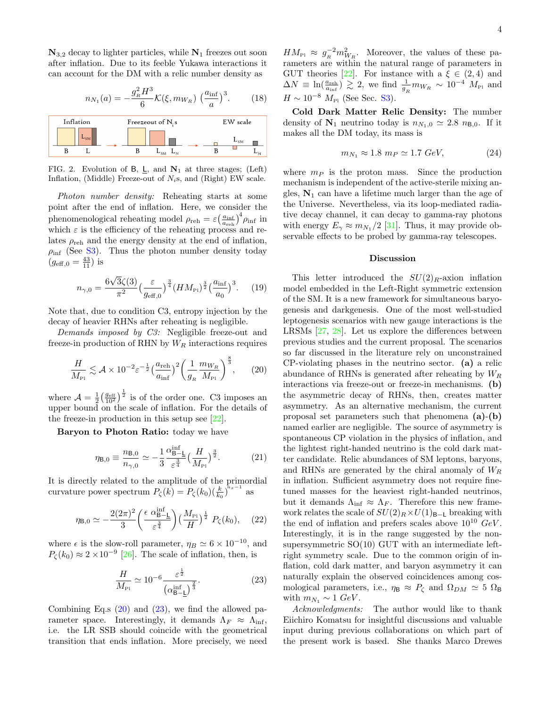$\mathbf{N}_{3,2}$  decay to lighter particles, while  $\mathbf{N}_1$  freezes out soon after inflation. Due to its feeble Yukawa interactions it can account for the DM with a relic number density as

$$
n_{N_1}(a) = -\frac{g_R^2 H^3}{6} \mathcal{K}(\xi, m_{W_R}) \left(\frac{a_{\text{inf}}}{a}\right)^3. \tag{18}
$$



<span id="page-3-0"></span>FIG. 2. Evolution of B, L, and  $N_1$  at three stages; (Left) Inflation, (Middle) Freeze-out of  $N_i$ s, and (Right) EW scale.

Photon number density: Reheating starts at some point after the end of inflation. Here, we consider the phenomenological reheating model  $\rho_{\text{reh}} = \varepsilon \left( \frac{a_{\text{inf}}}{a_{\text{reh}}}\right)^4 \rho_{\text{inf}}$  in which  $\varepsilon$  is the efficiency of the reheating process and relates  $\rho_{\text{reh}}$  and the energy density at the end of inflation,  $\rho_{\text{inf}}$  (See [S3\)](#page-7-1). Thus the photon number density today  $(g_{\text{eff},0} = \frac{43}{11})$  is

$$
n_{\gamma,0} = \frac{6\sqrt{3}\zeta(3)}{\pi^2} \left(\frac{\varepsilon}{g_{\text{eff},0}}\right)^{\frac{3}{4}} \left(HM_{\text{Pl}}\right)^{\frac{3}{2}} \left(\frac{a_{\text{inf}}}{a_0}\right)^3. \tag{19}
$$

Note that, due to condition C3, entropy injection by the decay of heavier RHNs after reheating is negligible.

Demands imposed by C3: Negligible freeze-out and freeze-in production of RHN by  $W_R$  interactions requires

<span id="page-3-1"></span>
$$
\frac{H}{M_{\rm Pl}} \lesssim \mathcal{A} \times 10^{-2} \varepsilon^{-\frac{1}{2}} \left(\frac{a_{\rm reh}}{a_{\rm inf}}\right)^2 \left(\frac{1}{g_{\scriptscriptstyle R}} \frac{m_{W_{\scriptscriptstyle R}}}{M_{\scriptscriptstyle \rm Pl}}\right)^{\frac{8}{3}},\qquad (20)
$$

where  $\mathcal{A} = \frac{1}{2} \left( \frac{g_{\text{eff}}}{10^2} \right)^{\frac{1}{2}}$  is of the order one. C3 imposes an upper bound on the scale of inflation. For the details of the freeze-in production in this setup see [\[22\]](#page-4-20).

Baryon to Photon Ratio: today we have

<span id="page-3-3"></span>
$$
\eta_{\mathsf{B},0} \equiv \frac{n_{\mathsf{B},0}}{n_{\gamma,0}} \simeq -\frac{1}{3} \frac{\alpha_{\mathsf{B}-\mathsf{L}}^{\text{inf}}}{\varepsilon^{\frac{3}{4}}} \left(\frac{H}{M_{\text{Pl}}}\right)^{\frac{3}{2}}.
$$
 (21)

It is directly related to the amplitude of the primordial curvature power spectrum  $P_{\zeta}(\vec{k}) = P_{\zeta}(k_0) (\frac{k}{k_0})^{\tilde{n}_s - 1}$  as

$$
\eta_{\mathsf{B},0} \simeq -\frac{2(2\pi)^2}{3} \left(\frac{\epsilon \ \alpha_{\mathsf{B}-\mathsf{L}}^{\text{inf}}}{\varepsilon^{\frac{3}{4}}}\right) \left(\frac{M_{\text{Pl}}}{H}\right)^{\frac{1}{2}} P_{\zeta}(k_0), \quad (22)
$$

where  $\epsilon$  is the slow-roll parameter,  $\eta_B \simeq 6 \times 10^{-10}$ , and  $P_{\zeta}(k_0) \approx 2 \times 10^{-9}$  [\[26\]](#page-4-25). The scale of inflation, then, is

<span id="page-3-2"></span>
$$
\frac{H}{M_{\rm Pl}} \simeq 10^{-6} \frac{\varepsilon^{\frac{1}{2}}}{\left(\alpha_{\rm B-\underline{L}}^{inf}\right)^{\frac{2}{3}}}.
$$
\n(23)

Combining Eq.s  $(20)$  and  $(23)$ , we find the allowed parameter space. Interestingly, it demands  $\Lambda_F \approx \Lambda_{\text{inf}}$ , i.e. the LR SSB should coincide with the geometrical transition that ends inflation. More precisely, we need

 $HM_{\rm Pl} \approx g_R^{-2} m_{W_R}^2$ . Moreover, the values of these parameters are within the natural range of parameters in GUT theories [\[22\]](#page-4-20). For instance with a  $\xi \in (2, 4)$  and  $\Delta N \equiv \ln(\frac{a_{\text{reh}}}{a_{\text{inf}}}) \gtrsim 2$ , we find  $\frac{1}{g_R} m_{W_R} \sim 10^{-4} M_{\text{Pl}}$  and  $H \sim 10^{-8} M_{\rm Pl}$  (See Sec. [S3\)](#page-7-1).

Cold Dark Matter Relic Density: The number density of  $N_1$  neutrino today is  $n_{N_1,0} \simeq 2.8 n_{B,0}$ . If it makes all the DM today, its mass is

$$
m_{N_1} \approx 1.8 \ m_P \simeq 1.7 \ GeV, \tag{24}
$$

where  $m_P$  is the proton mass. Since the production mechanism is independent of the active-sterile mixing angles,  $N_1$  can have a lifetime much larger than the age of the Universe. Nevertheless, via its loop-mediated radiative decay channel, it can decay to gamma-ray photons with energy  $E_{\gamma} \approx m_{N_1}/2$  [\[31\]](#page-4-26). Thus, it may provide observable effects to be probed by gamma-ray telescopes.

#### Discussion

This letter introduced the  $SU(2)_R$ -axion inflation model embedded in the Left-Right symmetric extension of the SM. It is a new framework for simultaneous baryogenesis and darkgenesis. One of the most well-studied leptogenesis scenarios with new gauge interactions is the LRSMs [\[27,](#page-4-27) [28\]](#page-4-28). Let us explore the differences between previous studies and the current proposal. The scenarios so far discussed in the literature rely on unconstrained CP-violating phases in the neutrino sector. (a) a relic abundance of RHNs is generated after reheating by  $W_R$ interactions via freeze-out or freeze-in mechanisms. (b) the asymmetric decay of RHNs, then, creates matter asymmetry. As an alternative mechanism, the current proposal set parameters such that phenomena (a)-(b) named earlier are negligible. The source of asymmetry is spontaneous CP violation in the physics of inflation, and the lightest right-handed neutrino is the cold dark matter candidate. Relic abundances of SM leptons, baryons, and RHNs are generated by the chiral anomaly of  $W_R$ in inflation. Sufficient asymmetry does not require finetuned masses for the heaviest right-handed neutrinos, but it demands  $\Lambda_{\text{inf}} \approx \Lambda_F$ . Therefore this new framework relates the scale of  $SU(2)_R \times U(1)_{B-L}$  breaking with the end of inflation and prefers scales above  $10^{10}$  GeV. Interestingly, it is in the range suggested by the nonsupersymmetric SO(10) GUT with an intermediate leftright symmetry scale. Due to the common origin of inflation, cold dark matter, and baryon asymmetry it can naturally explain the observed coincidences among cosmological parameters, i.e.,  $\eta_{\text{B}} \approx P_{\zeta}$  and  $\Omega_{DM} \approx 5 \Omega_{\text{B}}$ with  $m_{N_1} \sim 1 \text{ GeV}$ .

Acknowledgments: The author would like to thank Eiichiro Komatsu for insightful discussions and valuable input during previous collaborations on which part of the present work is based. She thanks Marco Drewes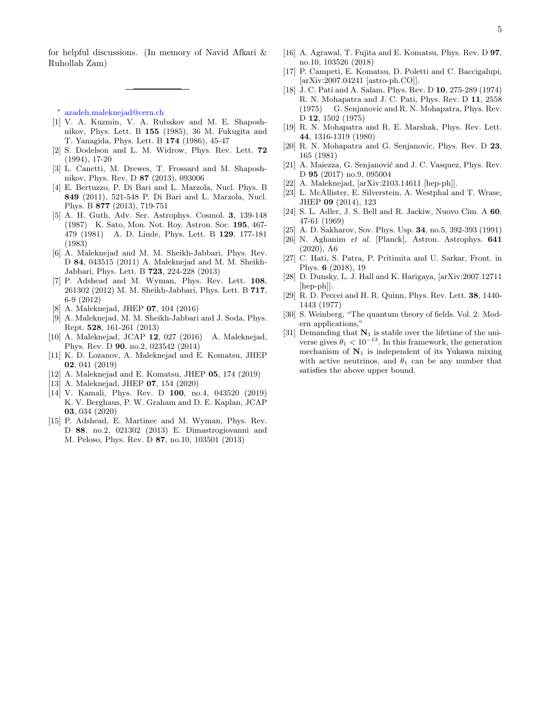for helpful discussions. (In memory of Navid Afkari & Ruhollah Zam)

<span id="page-4-0"></span>∗ [azadeh.maleknejad@cern.ch](mailto:azadeh.maleknejad@cern.ch)

- <span id="page-4-1"></span>[1] V. A. Kuzmin, V. A. Rubakov and M. E. Shaposhnikov, Phys. Lett. B 155 (1985), 36 M. Fukugita and T. Yanagida, Phys. Lett. B 174 (1986), 45-47
- <span id="page-4-2"></span>[2] S. Dodelson and L. M. Widrow, Phys. Rev. Lett. 72 (1994), 17-20
- <span id="page-4-3"></span>[3] L. Canetti, M. Drewes, T. Frossard and M. Shaposhnikov, Phys. Rev. D 87 (2013), 093006
- <span id="page-4-4"></span>[4] E. Bertuzzo, P. Di Bari and L. Marzola, Nucl. Phys. B 849 (2011), 521-548 P. Di Bari and L. Marzola, Nucl. Phys. B 877 (2013), 719-751
- <span id="page-4-5"></span>[5] A. H. Guth, Adv. Ser. Astrophys. Cosmol. 3, 139-148 (1987) K. Sato, Mon. Not. Roy. Astron. Soc. 195, 467- 479 (1981) A. D. Linde, Phys. Lett. B 129, 177-181 (1983)
- <span id="page-4-6"></span>[6] A. Maleknejad and M. M. Sheikh-Jabbari, Phys. Rev. D 84, 043515 (2011) A. Maleknejad and M. M. Sheikh-Jabbari, Phys. Lett. B 723, 224-228 (2013)
- [7] P. Adshead and M. Wyman, Phys. Rev. Lett. 108, 261302 (2012) M. M. Sheikh-Jabbari, Phys. Lett. B 717, 6-9 (2012)
- <span id="page-4-7"></span>[8] A. Maleknejad, JHEP 07, 104 (2016)
- <span id="page-4-8"></span>[9] A. Maleknejad, M. M. Sheikh-Jabbari and J. Soda, Phys. Rept. 528, 161-261 (2013)
- <span id="page-4-9"></span>[10] A. Maleknejad, JCAP 12, 027 (2016) A. Maleknejad, Phys. Rev. D 90, no.2, 023542 (2014)
- <span id="page-4-10"></span>[11] K. D. Lozanov, A. Maleknejad and E. Komatsu, JHEP 02, 041 (2019)
- [12] A. Maleknejad and E. Komatsu, JHEP 05, 174 (2019)
- <span id="page-4-11"></span>[13] A. Maleknejad, JHEP 07, 154 (2020)
- <span id="page-4-12"></span>[14] V. Kamali, Phys. Rev. D 100, no.4, 043520 (2019) K. V. Berghaus, P. W. Graham and D. E. Kaplan, JCAP 03, 034 (2020)
- <span id="page-4-13"></span>[15] P. Adshead, E. Martinec and M. Wyman, Phys. Rev. D 88, no.2, 021302 (2013) E. Dimastrogiovanni and M. Peloso, Phys. Rev. D 87, no.10, 103501 (2013)
- <span id="page-4-14"></span>[16] A. Agrawal, T. Fujita and E. Komatsu, Phys. Rev. D 97, no.10, 103526 (2018)
- <span id="page-4-15"></span>[17] P. Campeti, E. Komatsu, D. Poletti and C. Baccigalupi, [arXiv:2007.04241 [astro-ph.CO]].
- <span id="page-4-16"></span>[18] J. C. Pati and A. Salam, Phys. Rev. D 10, 275-289 (1974) R. N. Mohapatra and J. C. Pati, Phys. Rev. D 11, 2558 (1975) G. Senjanovic and R. N. Mohapatra, Phys. Rev. D 12, 1502 (1975)
- <span id="page-4-17"></span>[19] R. N. Mohapatra and R. E. Marshak, Phys. Rev. Lett. 44, 1316-1319 (1980)
- <span id="page-4-18"></span>[20] R. N. Mohapatra and G. Senjanovic, Phys. Rev. D 23, 165 (1981)
- <span id="page-4-19"></span>[21] A. Maiezza, G. Senjanović and J. C. Vasquez, Phys. Rev. D 95 (2017) no.9, 095004
- <span id="page-4-20"></span>[22] A. Maleknejad, [arXiv:2103.14611 [hep-ph]].
- <span id="page-4-21"></span>[23] L. McAllister, E. Silverstein, A. Westphal and T. Wrase, JHEP 09 (2014), 123
- <span id="page-4-23"></span>[24] S. L. Adler, J. S. Bell and R. Jackiw, Nuovo Cim. A 60, 47-61 (1969)
- <span id="page-4-24"></span>[25] A. D. Sakharov, Sov. Phys. Usp. 34, no.5, 392-393 (1991)
- <span id="page-4-25"></span>[26] N. Aghanim et al. [Planck], Astron. Astrophys. 641 (2020), A6
- <span id="page-4-27"></span>[27] C. Hati, S. Patra, P. Pritimita and U. Sarkar, Front. in Phys. 6 (2018), 19
- <span id="page-4-28"></span>[28] D. Dunsky, L. J. Hall and K. Harigaya, [arXiv:2007.12711 [hep-ph]].
- <span id="page-4-29"></span>[29] R. D. Peccei and H. R. Quinn, Phys. Rev. Lett. 38, 1440- 1443 (1977)
- <span id="page-4-22"></span>[30] S. Weinberg, "The quantum theory of fields. Vol. 2: Modern applications,"
- <span id="page-4-26"></span>[31] Demanding that  $N_1$  is stable over the lifetime of the universe gives  $\theta_1 < 10^{-13}$ . In this framework, the generation mechanism of  $N_1$  is independent of its Yukawa mixing with active neutrinos, and  $\theta_1$  can be any number that satisfies the above upper bound.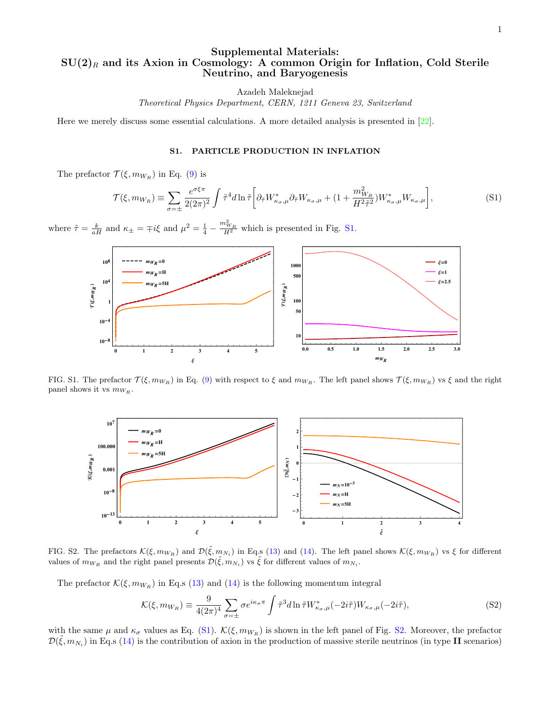## Supplemental Materials:  $SU(2)_R$  and its Axion in Cosmology: A common Origin for Inflation, Cold Sterile Neutrino, and Baryogenesis

Azadeh Maleknejad

Theoretical Physics Department, CERN, 1211 Geneva 23, Switzerland

Here we merely discuss some essential calculations. A more detailed analysis is presented in [\[22\]](#page-4-20).

### S1. PARTICLE PRODUCTION IN INFLATION

The prefactor  $\mathcal{T}(\xi, m_{W_R})$  in Eq. [\(9\)](#page-2-2) is

<span id="page-5-0"></span>
$$
\mathcal{T}(\xi, m_{W_R}) \equiv \sum_{\sigma=\pm} \frac{e^{\sigma\xi\pi}}{2(2\pi)^2} \int \tilde{\tau}^4 d\ln \tilde{\tau} \left[ \partial_{\tilde{\tau}} W^*_{\kappa_{\sigma},\mu} \partial_{\tilde{\tau}} W_{\kappa_{\sigma},\mu} + (1 + \frac{m_{W_R}^2}{H^2 \tilde{\tau}^2}) W^*_{\kappa_{\sigma},\mu} W_{\kappa_{\sigma},\mu} \right], \tag{S1}
$$

where  $\tilde{\tau} = \frac{k}{aH}$  and  $\kappa_{\pm} = \mp i\xi$  and  $\mu^2 = \frac{1}{4} - \frac{m_{W_R}^2}{H^2}$  which is presented in Fig. [S1.](#page-0-0)



FIG. S1. The prefactor  $\mathcal{T}(\xi, m_{W_R})$  in Eq. [\(9\)](#page-2-2) with respect to  $\xi$  and  $m_{W_R}$ . The left panel shows  $\mathcal{T}(\xi, m_{W_R})$  vs  $\xi$  and the right panel shows it vs  $m_{W_R}$ .



FIG. S2. The prefactors  $\mathcal{K}(\xi, m_{W_R})$  and  $\mathcal{D}(\tilde{\xi}, m_{N_i})$  in Eq.s [\(13\)](#page-2-3) and [\(14\)](#page-2-3). The left panel shows  $\mathcal{K}(\xi, m_{W_R})$  vs  $\xi$  for different values of  $m_{W_R}$  and the right panel presents  $\mathcal{D}(\tilde{\xi}, m_{N_i})$  vs  $\tilde{\xi}$  for different values of  $m_{N_i}$ .

The prefactor  $\mathcal{K}(\xi, m_{W_R})$  in Eq.s [\(13\)](#page-2-3) and [\(14\)](#page-2-3) is the following momentum integral

<span id="page-5-1"></span>
$$
\mathcal{K}(\xi, m_{W_R}) \equiv \frac{9}{4(2\pi)^4} \sum_{\sigma=\pm} \sigma e^{i\kappa_\sigma \pi} \int \tilde{\tau}^3 d\ln \tilde{\tau} W^*_{\kappa_\sigma,\mu}(-2i\tilde{\tau}) W_{\kappa_\sigma,\mu}(-2i\tilde{\tau}), \tag{S2}
$$

with the same  $\mu$  and  $\kappa_{\sigma}$  values as Eq. [\(S1\)](#page-5-0).  $\mathcal{K}(\xi, m_{W_R})$  is shown in the left panel of Fig. [S2.](#page-3-0) Moreover, the prefactor  $\mathcal{D}(\tilde{\xi}, m_{N_i})$  in Eq.s [\(14\)](#page-2-3) is the contribution of axion in the production of massive sterile neutrinos (in type II scenarios)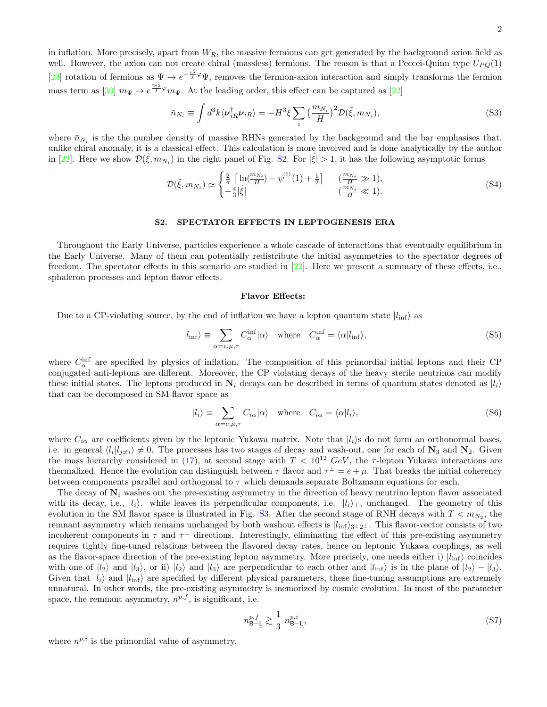in inflation. More precisely, apart from  $W_R$ , the massive fermions can get generated by the background axion field as well. However, the axion can not create chiral (massless) fermions. The reason is that a Peccei-Quinn type  $U_{PQ}(1)$ [\[29\]](#page-4-29) rotation of fermions as  $\Psi \to e^{-\frac{i\tilde{\lambda}}{f}\varphi}\Psi$ , removes the fermion-axion interaction and simply transforms the fermion mass term as [\[30\]](#page-4-22)  $m_{\Psi} \to e^{\frac{2i\tilde{\lambda}}{f}\varphi} m_{\Psi}$ . At the leading order, this effect can be captured as [\[22\]](#page-4-20)

<span id="page-6-0"></span>
$$
\bar{n}_{N_i} \equiv \int d^3k \langle \nu_{iR}^{\dagger} \nu_{iR} \rangle = -H^3 \bar{\xi} \sum_i \left( \frac{m_{N_i}}{H} \right)^2 \mathcal{D}(\tilde{\xi}, m_{N_i}), \tag{S3}
$$

where  $\bar{n}_{N_i}$  is the the number density of massive RHNs generated by the background and the bar emphasises that, unlike chiral anomaly, it is a classical effect. This calculation is more involved and is done analytically by the author in [\[22\]](#page-4-20). Here we show  $\mathcal{D}(\tilde{\xi}, m_{N_i})$  in the right panel of Fig. [S2.](#page-3-0) For  $|\tilde{\xi}| > 1$ , it has the following asymptotic forms

$$
\mathcal{D}(\tilde{\xi}, m_{N_i}) \simeq \begin{cases} \frac{2}{\pi} \left[ \ln \left( \frac{m_{N_i}}{H} \right) - \psi^{(0)}(1) + \frac{1}{2} \right] & \left( \frac{m_{N_i}}{H} \gg 1 \right), \\ -\frac{4}{3} |\tilde{\xi}| & \left( \frac{m_{N_i}}{H} \ll 1 \right). \end{cases} \tag{S4}
$$

## <span id="page-6-1"></span>S2. SPECTATOR EFFECTS IN LEPTOGENESIS ERA

Throughout the Early Universe, particles experience a whole cascade of interactions that eventually equilibrium in the Early Universe. Many of them can potentially redistribute the initial asymmetries to the spectator degrees of freedom. The spectator effects in this scenario are studied in [\[22\]](#page-4-20). Here we present a summary of these effects, i.e., sphaleron processes and lepton flavor effects.

#### Flavor Effects:

Due to a CP-violating source, by the end of inflation we have a lepton quantum state  $|l_{\text{inf}}\rangle$  as

$$
|l_{\rm inf}\rangle \equiv \sum_{\alpha=e,\mu,\tau} C_{\alpha}^{\rm inf} |\alpha\rangle \quad \text{where} \quad C_{\alpha}^{\rm inf} = \langle \alpha | l_{\rm inf} \rangle,\tag{S5}
$$

where  $C_{\alpha}^{\text{inf}}$  are specified by physics of inflation. The composition of this primordial initial leptons and their CP conjugated anti-leptons are different. Moreover, the CP violating decays of the heavy sterile neutrinos can modify these initial states. The leptons produced in  $N_i$  decays can be described in terms of quantum states denoted as  $|l_i\rangle$ that can be decomposed in SM flavor space as

$$
|l_i\rangle \equiv \sum_{\alpha=e,\mu,\tau} C_{i\alpha}|\alpha\rangle \quad \text{where} \quad C_{i\alpha} = \langle \alpha | l_i \rangle,
$$
 (S6)

where  $C_{i\alpha}$  are coefficients given by the leptonic Yukawa matrix. Note that  $|l_i\rangle$ s do not form an orthonormal bases, i.e. in general  $\langle l_i | l_{j\neq i} \rangle \neq 0$ . The processes has two stages of decay and wash-out, one for each of  $\mathbf{N}_3$  and  $\mathbf{N}_2$ . Given the mass hierarchy considered in [\(17\)](#page-2-4), at second stage with  $T < 10^{12} \text{ GeV}$ , the  $\tau$ -lepton Yukawa interactions are thermalized. Hence the evolution can distinguish between  $\tau$  flavor and  $\tau^{\perp} = e + \mu$ . That breaks the initial coherency between components parallel and orthogonal to  $\tau$  which demands separate Boltzmann equations for each.

The decay of  $N_i$  washes out the pre-existing asymmetry in the direction of heavy neutrino lepton flavor associated with its decay, i.e.,  $|l_i\rangle$ . while leaves its perpendicular components, i.e.  $|l_i\rangle_\perp$ , unchanged. The geometry of this evolution in the SM flavor space is illustrated in Fig. [S3.](#page-7-0) After the second stage of RNH decays with  $T < m_{N_2}$ , the remnant asymmetry which remains unchanged by both washout effects is  $|l_{\text{inf}}\rangle_{3\perp 2\perp}$ . This flavor-vector consists of two incoherent components in  $\tau$  and  $\tau^{\perp}$  directions. Interestingly, eliminating the effect of this pre-existing asymmetry requires tightly fine-tuned relations between the flavored decay rates, hence on leptonic Yukawa couplings, as well as the flavor-space direction of the pre-existing lepton asymmetry. More precisely, one needs either i)  $|l_{\text{inf}}\rangle$  coincides with one of  $|l_2\rangle$  and  $|l_3\rangle$ , or ii)  $|l_2\rangle$  and  $|l_3\rangle$  are perpendicular to each other and  $|l_{\rm inf}\rangle$  is in the plane of  $|l_2\rangle - |l_3\rangle$ . Given that  $|l_i\rangle$  and  $|l_{\rm inf}\rangle$  are specified by different physical parameters, these fine-tuning assumptions are extremely unnatural. In other words, the pre-existing asymmetry is memorized by cosmic evolution. In most of the parameter space, the remnant asymmetry,  $n^{p,f}$ , is significant, i.e.

<span id="page-6-2"></span>
$$
n_{\mathsf{B}-\mathsf{L}}^{p,f} \gtrsim \frac{1}{3} n_{\mathsf{B}-\mathsf{L}}^{p,i},\tag{S7}
$$

where  $n^{p,i}$  is the primordial value of asymmetry.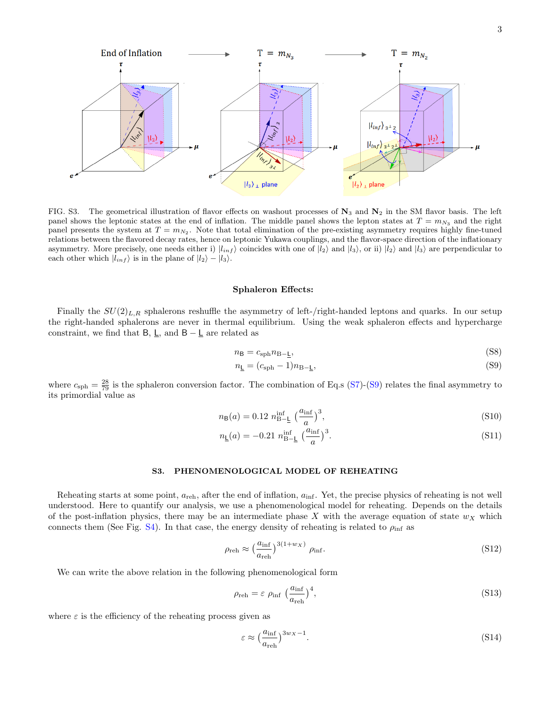

<span id="page-7-0"></span>FIG. S3. The geometrical illustration of flavor effects on washout processes of  $N_3$  and  $N_2$  in the SM flavor basis. The left panel shows the leptonic states at the end of inflation. The middle panel shows the lepton states at  $T = m_{N_3}$  and the right panel presents the system at  $T = m_{N_2}$ . Note that total elimination of the pre-existing asymmetry requires highly fine-tuned relations between the flavored decay rates, hence on leptonic Yukawa couplings, and the flavor-space direction of the inflationary asymmetry. More precisely, one needs either i)  $|l_{inf}\rangle$  coincides with one of  $|l_2\rangle$  and  $|l_3\rangle$ , or ii)  $|l_2\rangle$  and  $|l_3\rangle$  are perpendicular to each other which  $|l_{inf}\rangle$  is in the plane of  $|l_2\rangle - |l_3\rangle$ .

#### Sphaleron Effects:

Finally the  $SU(2)_{L,R}$  sphalerons reshuffle the asymmetry of left-/right-handed leptons and quarks. In our setup the right-handed sphalerons are never in thermal equilibrium. Using the weak sphaleron effects and hypercharge constraint, we find that B,  $\underline{\mathsf{L}}$ , and B –  $\underline{\mathsf{L}}$  are related as

<span id="page-7-2"></span>
$$
n_{\rm B} = c_{\rm sph} n_{\rm B-L},\tag{S8}
$$

$$
n_{\underline{\mathsf{L}}} = (c_{\underline{\mathrm{sph}}} - 1)n_{\underline{\mathsf{B}} - \underline{\mathsf{L}}},\tag{S9}
$$

where  $c_{\rm sph} = \frac{28}{79}$  is the sphaleron conversion factor. The combination of Eq.s [\(S7\)](#page-6-2)-[\(S9\)](#page-7-2) relates the final asymmetry to its primordial value as

$$
n_{\rm B}(a) = 0.12 n_{\rm B-L}^{\rm inf} \left(\frac{a_{\rm inf}}{a}\right)^3, \tag{S10}
$$

$$
n_{\underline{\mathsf{L}}}(a) = -0.21 \; n_{\underline{\mathsf{B}} - \underline{\mathsf{L}}}^{\text{inf}} \; \left(\frac{a_{\text{inf}}}{a}\right)^3. \tag{S11}
$$

## <span id="page-7-1"></span>S3. PHENOMENOLOGICAL MODEL OF REHEATING

Reheating starts at some point,  $a_{\text{reh}}$ , after the end of inflation,  $a_{\text{inf}}$ . Yet, the precise physics of reheating is not well understood. Here to quantify our analysis, we use a phenomenological model for reheating. Depends on the details of the post-inflation physics, there may be an intermediate phase X with the average equation of state  $w<sub>X</sub>$  which connects them (See Fig. [S4\)](#page-8-0). In that case, the energy density of reheating is related to  $\rho_{\text{inf}}$  as

$$
\rho_{\rm reh} \approx \left(\frac{a_{\rm inf}}{a_{\rm reh}}\right)^{3(1+w_X)} \rho_{\rm inf}.\tag{S12}
$$

We can write the above relation in the following phenomenological form

$$
\rho_{\rm reh} = \varepsilon \ \rho_{\rm inf} \ \left(\frac{a_{\rm inf}}{a_{\rm reh}}\right)^4,\tag{S13}
$$

where  $\varepsilon$  is the efficiency of the reheating process given as

$$
\varepsilon \approx \left(\frac{a_{\rm inf}}{a_{\rm reh}}\right)^{3w_X - 1}.\tag{S14}
$$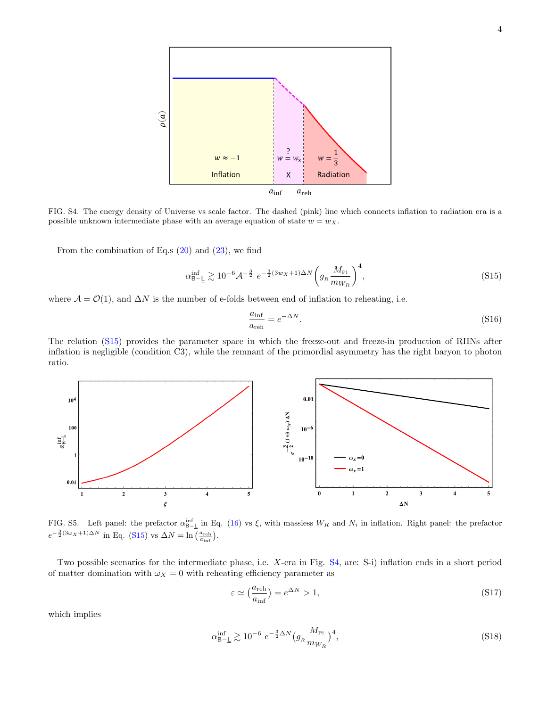

<span id="page-8-0"></span>FIG. S4. The energy density of Universe vs scale factor. The dashed (pink) line which connects inflation to radiation era is a possible unknown intermediate phase with an average equation of state  $w = wx$ .

From the combination of Eq.s  $(20)$  and  $(23)$ , we find

<span id="page-8-1"></span>
$$
\alpha_{\rm B-L}^{\rm inf} \gtrsim 10^{-6} \mathcal{A}^{-\frac{3}{2}} \ e^{-\frac{3}{2}(3w_X + 1)\Delta N} \left( g_{\rm R} \frac{M_{\rm Pl}}{m_{W_R}} \right)^4, \tag{S15}
$$

where  $\mathcal{A} = \mathcal{O}(1)$ , and  $\Delta N$  is the number of e-folds between end of inflation to reheating, i.e.

$$
\frac{a_{\text{inf}}}{a_{\text{reh}}} = e^{-\Delta N}.\tag{S16}
$$

The relation [\(S15\)](#page-8-1) provides the parameter space in which the freeze-out and freeze-in production of RHNs after inflation is negligible (condition C3), while the remnant of the primordial asymmetry has the right baryon to photon ratio.



FIG. S5. Left panel: the prefactor  $\alpha_{B-\underline{L}}^{\text{inf}}$  in Eq. [\(16\)](#page-2-5) vs  $\xi$ , with massless  $W_R$  and  $N_i$  in inflation. Right panel: the prefactor  $e^{-\frac{3}{2}(3\omega_X+1)\Delta N}$  in Eq. [\(S15\)](#page-8-1) vs  $\Delta N = \ln\left(\frac{a_{\text{reh}}}{a_{\text{inf}}}\right)$ .

Two possible scenarios for the intermediate phase, i.e. X-era in Fig. [S4,](#page-8-0) are: S-i) inflation ends in a short period of matter domination with  $\omega_X = 0$  with reheating efficiency parameter as

$$
\varepsilon \simeq \left(\frac{a_{\rm reh}}{a_{\rm inf}}\right) = e^{\Delta N} > 1,\tag{S17}
$$

which implies

$$
\alpha_{\rm B-\underline{L}}^{\rm inf} \gtrsim 10^{-6} \ e^{-\frac{3}{2}\Delta N} \big(g_{\scriptscriptstyle R} \frac{M_{\rm Pl}}{m_{W_{\scriptscriptstyle R}}} \big)^4,\tag{S18}
$$